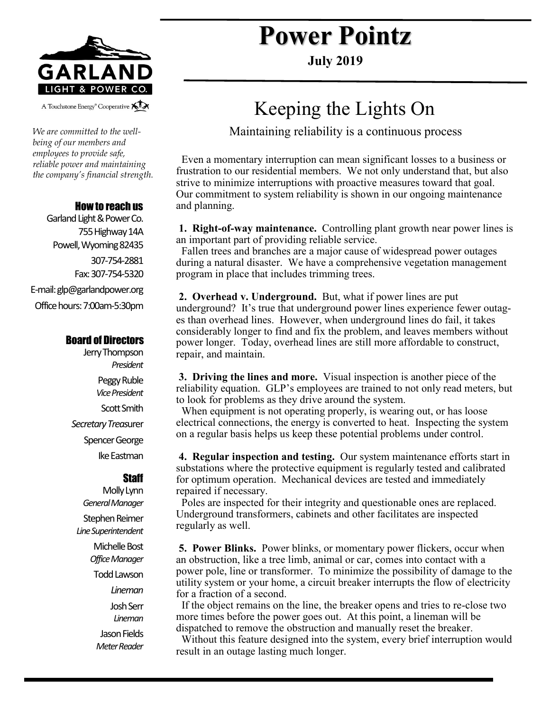

A Touchstone Energy<sup>®</sup> Cooperative All

*We are committed to the wellbeing of our members and employees to provide safe, reliable power and maintaining the company's financial strength.* 

### How to reach us

Garland Light & Power Co. 755 Highway 14A Powell, Wyoming 82435 307-754-2881 Fax: 307-754-5320 E-mail: glp@garlandpower.org Office hours: 7:00am-5:30pm

### Board of Directors

Jerry Thompson *President* Peggy Ruble *Vice President* Scott Smith *Secretary Treas*urer Spencer George Ike Eastman

#### **Staff**

Molly Lynn *General Manager* Stephen Reimer *Line Superintendent* Michelle Bost *Office Manager* Todd Lawson *Lineman* Josh Serr *Lineman* Jason Fields *Meter Reader*

# **Power Pointz**

**July 2019**

## Keeping the Lights On

Maintaining reliability is a continuous process

 Even a momentary interruption can mean significant losses to a business or frustration to our residential members. We not only understand that, but also strive to minimize interruptions with proactive measures toward that goal. Our commitment to system reliability is shown in our ongoing maintenance and planning.

**1. Right-of-way maintenance.** Controlling plant growth near power lines is an important part of providing reliable service.

 Fallen trees and branches are a major cause of widespread power outages during a natural disaster. We have a comprehensive vegetation management program in place that includes trimming trees.

**2. Overhead v. Underground.** But, what if power lines are put underground? It's true that underground power lines experience fewer outages than overhead lines. However, when underground lines do fail, it takes considerably longer to find and fix the problem, and leaves members without power longer. Today, overhead lines are still more affordable to construct, repair, and maintain.

**3. Driving the lines and more.** Visual inspection is another piece of the reliability equation. GLP's employees are trained to not only read meters, but to look for problems as they drive around the system.

 When equipment is not operating properly, is wearing out, or has loose electrical connections, the energy is converted to heat. Inspecting the system on a regular basis helps us keep these potential problems under control.

**4. Regular inspection and testing.** Our system maintenance efforts start in substations where the protective equipment is regularly tested and calibrated for optimum operation. Mechanical devices are tested and immediately repaired if necessary.

 Poles are inspected for their integrity and questionable ones are replaced. Underground transformers, cabinets and other facilitates are inspected regularly as well.

**5. Power Blinks.** Power blinks, or momentary power flickers, occur when an obstruction, like a tree limb, animal or car, comes into contact with a power pole, line or transformer. To minimize the possibility of damage to the utility system or your home, a circuit breaker interrupts the flow of electricity for a fraction of a second.

 If the object remains on the line, the breaker opens and tries to re-close two more times before the power goes out. At this point, a lineman will be dispatched to remove the obstruction and manually reset the breaker.

 Without this feature designed into the system, every brief interruption would result in an outage lasting much longer.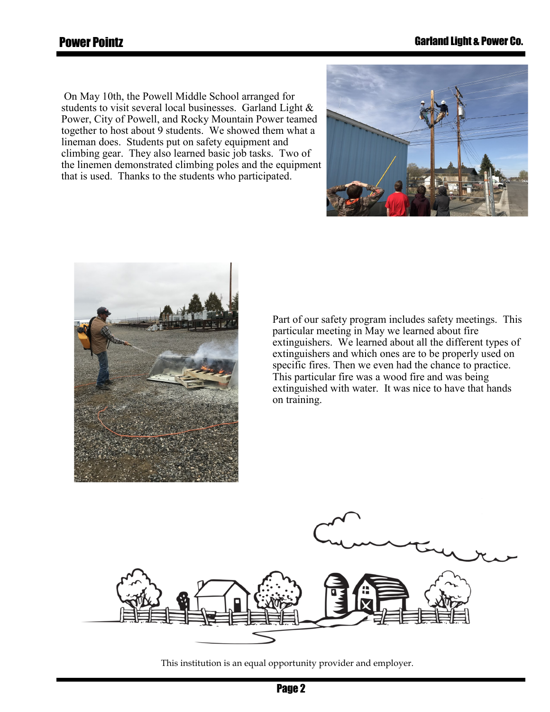On May 10th, the Powell Middle School arranged for students to visit several local businesses. Garland Light & Power, City of Powell, and Rocky Mountain Power teamed together to host about 9 students. We showed them what a lineman does. Students put on safety equipment and climbing gear. They also learned basic job tasks. Two of the linemen demonstrated climbing poles and the equipment that is used. Thanks to the students who participated.





Part of our safety program includes safety meetings. This particular meeting in May we learned about fire extinguishers. We learned about all the different types of extinguishers and which ones are to be properly used on specific fires. Then we even had the chance to practice. This particular fire was a wood fire and was being extinguished with water. It was nice to have that hands on training.



This institution is an equal opportunity provider and employer.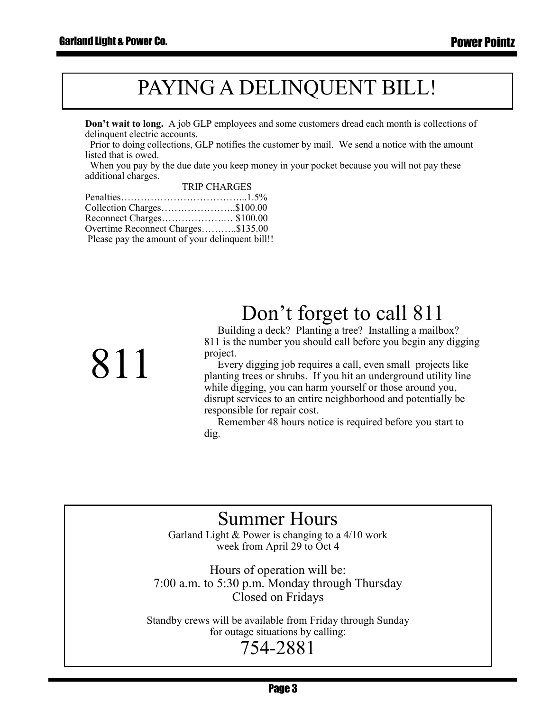811

# PAYING A DELINQUENT BILL!

**Don't wait to long.** A job GLP employees and some customers dread each month is collections of delinquent electric accounts.

 Prior to doing collections, GLP notifies the customer by mail. We send a notice with the amount listed that is owed.

 When you pay by the due date you keep money in your pocket because you will not pay these additional charges. TRIP CHARGES

| TRIP UHARUES                                    |
|-------------------------------------------------|
|                                                 |
| Collection Charges\$100.00                      |
| Reconnect Charges\$100.00                       |
| Overtime Reconnect Charges\$135.00              |
| Please pay the amount of your delinquent bill!! |
|                                                 |

# Don't forget to call 811

 Building a deck? Planting a tree? Installing a mailbox? 811 is the number you should call before you begin any digging project.

 Every digging job requires a call, even small projects like planting trees or shrubs. If you hit an underground utility line while digging, you can harm yourself or those around you, disrupt services to an entire neighborhood and potentially be responsible for repair cost.

 Remember 48 hours notice is required before you start to dig.

### Summer Hours

Garland Light & Power is changing to a 4/10 work week from April 29 to Oct 4

Hours of operation will be: 7:00 a.m. to 5:30 p.m. Monday through Thursday Closed on Fridays

Standby crews will be available from Friday through Sunday for outage situations by calling:

### 754-2881

Page 3